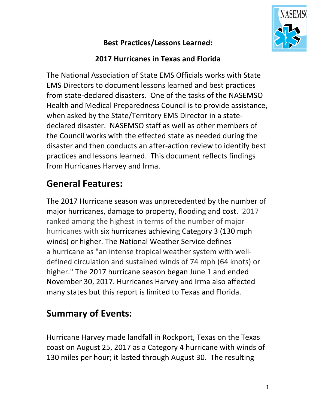

#### **Best Practices/Lessons Learned:**

#### **2017 Hurricanes in Texas and Florida**

The National Association of State EMS Officials works with State EMS Directors to document lessons learned and best practices from state-declared disasters. One of the tasks of the NASEMSO Health and Medical Preparedness Council is to provide assistance. when asked by the State/Territory EMS Director in a statedeclared disaster. NASEMSO staff as well as other members of the Council works with the effected state as needed during the disaster and then conducts an after-action review to identify best practices and lessons learned. This document reflects findings from Hurricanes Harvey and Irma.

# **General Features:**

The 2017 Hurricane season was unprecedented by the number of major hurricanes, damage to property, flooding and cost. 2017 ranked among the highest in terms of the number of major hurricanes with six hurricanes achieving Category 3 (130 mph winds) or higher. The National Weather Service defines a hurricane as "an intense tropical weather system with welldefined circulation and sustained winds of 74 mph (64 knots) or higher." The 2017 hurricane season began June 1 and ended November 30, 2017. Hurricanes Harvey and Irma also affected many states but this report is limited to Texas and Florida.

# **Summary of Events:**

Hurricane Harvey made landfall in Rockport, Texas on the Texas coast on August 25, 2017 as a Category 4 hurricane with winds of 130 miles per hour; it lasted through August 30. The resulting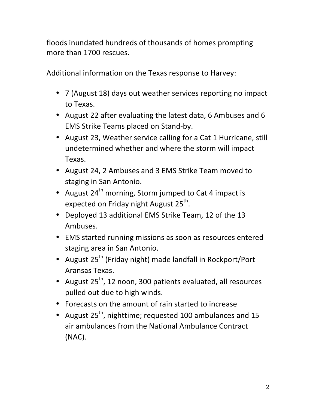floods inundated hundreds of thousands of homes prompting more than 1700 rescues.

Additional information on the Texas response to Harvey:

- 7 (August 18) days out weather services reporting no impact to Texas.
- August 22 after evaluating the latest data, 6 Ambuses and 6 EMS Strike Teams placed on Stand-by.
- August 23, Weather service calling for a Cat 1 Hurricane, still undetermined whether and where the storm will impact Texas.
- August 24, 2 Ambuses and 3 EMS Strike Team moved to staging in San Antonio.
- August  $24<sup>th</sup>$  morning, Storm jumped to Cat 4 impact is expected on Friday night August  $25^{th}$ .
- Deployed 13 additional EMS Strike Team, 12 of the 13 Ambuses.
- EMS started running missions as soon as resources entered staging area in San Antonio.
- August 25<sup>th</sup> (Friday night) made landfall in Rockport/Port Aransas Texas.
- August  $25^{th}$ , 12 noon, 300 patients evaluated, all resources pulled out due to high winds.
- Forecasts on the amount of rain started to increase
- August  $25^{th}$ , nighttime; requested 100 ambulances and 15 air ambulances from the National Ambulance Contract (NAC).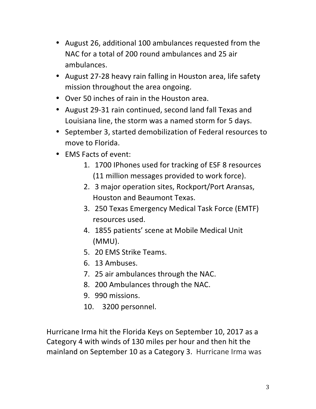- August 26, additional 100 ambulances requested from the NAC for a total of 200 round ambulances and 25 air ambulances.
- August 27-28 heavy rain falling in Houston area, life safety mission throughout the area ongoing.
- Over 50 inches of rain in the Houston area.
- August 29-31 rain continued, second land fall Texas and Louisiana line, the storm was a named storm for 5 days.
- September 3, started demobilization of Federal resources to move to Florida.
- EMS Facts of event:
	- 1. 1700 IPhones used for tracking of ESF 8 resources (11 million messages provided to work force).
	- 2. 3 major operation sites, Rockport/Port Aransas, Houston and Beaumont Texas.
	- 3. 250 Texas Emergency Medical Task Force (EMTF) resources used.
	- 4. 1855 patients' scene at Mobile Medical Unit (MMU).
	- 5. 20 EMS Strike Teams.
	- 6. 13 Ambuses.
	- 7. 25 air ambulances through the NAC.
	- 8. 200 Ambulances through the NAC.
	- 9. 990 missions.
	- 10. 3200 personnel.

Hurricane Irma hit the Florida Keys on September 10, 2017 as a Category 4 with winds of 130 miles per hour and then hit the mainland on September 10 as a Category 3. Hurricane Irma was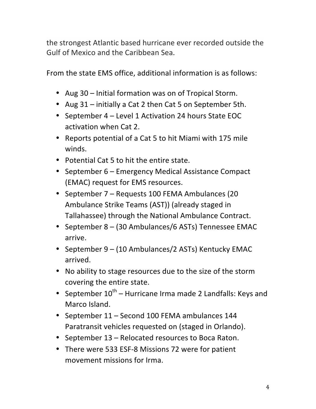the strongest Atlantic based hurricane ever recorded outside the Gulf of Mexico and the Caribbean Sea.

From the state EMS office, additional information is as follows:

- Aug 30 Initial formation was on of Tropical Storm.
- Aug 31 initially a Cat 2 then Cat 5 on September 5th.
- September 4 Level 1 Activation 24 hours State EOC activation when Cat 2.
- Reports potential of a Cat 5 to hit Miami with 175 mile winds.
- Potential Cat 5 to hit the entire state.
- September 6 Emergency Medical Assistance Compact (EMAC) request for EMS resources.
- September 7 Requests 100 FEMA Ambulances (20 Ambulance Strike Teams (AST)) (already staged in Tallahassee) through the National Ambulance Contract.
- September 8 (30 Ambulances/6 ASTs) Tennessee EMAC arrive.
- September 9 (10 Ambulances/2 ASTs) Kentucky EMAC arrived.
- No ability to stage resources due to the size of the storm covering the entire state.
- September  $10^{th}$  Hurricane Irma made 2 Landfalls: Keys and Marco Island.
- September 11 Second 100 FEMA ambulances 144 Paratransit vehicles requested on (staged in Orlando).
- September 13 Relocated resources to Boca Raton.
- There were 533 ESF-8 Missions 72 were for patient movement missions for Irma.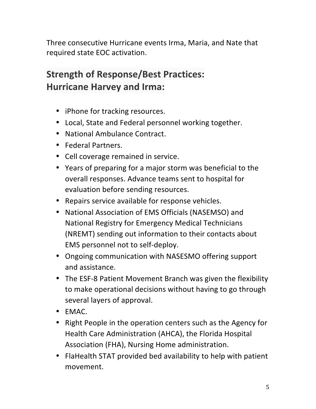Three consecutive Hurricane events Irma, Maria, and Nate that required state EOC activation.

# **Strength of Response/Best Practices: Hurricane Harvey and Irma:**

- iPhone for tracking resources.
- Local, State and Federal personnel working together.
- National Ambulance Contract.
- Federal Partners.
- Cell coverage remained in service.
- Years of preparing for a major storm was beneficial to the overall responses. Advance teams sent to hospital for evaluation before sending resources.
- Repairs service available for response vehicles.
- National Association of EMS Officials (NASEMSO) and National Registry for Emergency Medical Technicians (NREMT) sending out information to their contacts about EMS personnel not to self-deploy.
- Ongoing communication with NASESMO offering support and assistance.
- The ESF-8 Patient Movement Branch was given the flexibility to make operational decisions without having to go through several layers of approval.
- EMAC.
- Right People in the operation centers such as the Agency for Health Care Administration (AHCA), the Florida Hospital Association (FHA), Nursing Home administration.
- FlaHealth STAT provided bed availability to help with patient movement.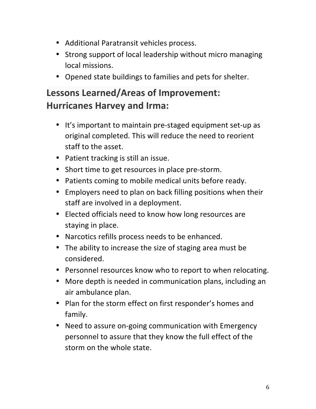- Additional Paratransit vehicles process.
- Strong support of local leadership without micro managing local missions.
- Opened state buildings to families and pets for shelter.

## Lessons Learned/Areas of Improvement: **Hurricanes Harvey and Irma:**

- It's important to maintain pre-staged equipment set-up as original completed. This will reduce the need to reorient staff to the asset.
- Patient tracking is still an issue.
- Short time to get resources in place pre-storm.
- Patients coming to mobile medical units before ready.
- Employers need to plan on back filling positions when their staff are involved in a deployment.
- Elected officials need to know how long resources are staying in place.
- Narcotics refills process needs to be enhanced.
- The ability to increase the size of staging area must be considered.
- Personnel resources know who to report to when relocating.
- More depth is needed in communication plans, including an air ambulance plan.
- Plan for the storm effect on first responder's homes and family.
- Need to assure on-going communication with Emergency personnel to assure that they know the full effect of the storm on the whole state.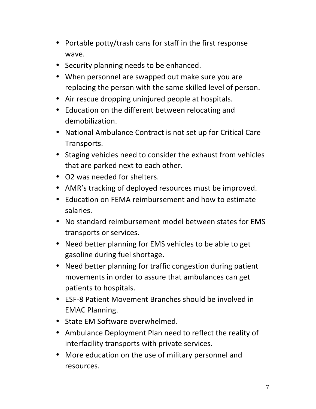- Portable potty/trash cans for staff in the first response wave.
- Security planning needs to be enhanced.
- When personnel are swapped out make sure you are replacing the person with the same skilled level of person.
- Air rescue dropping uninjured people at hospitals.
- Education on the different between relocating and demobilization.
- National Ambulance Contract is not set up for Critical Care Transports.
- Staging vehicles need to consider the exhaust from vehicles that are parked next to each other.
- O2 was needed for shelters.
- AMR's tracking of deployed resources must be improved.
- Education on FEMA reimbursement and how to estimate salaries.
- No standard reimbursement model between states for EMS transports or services.
- Need better planning for EMS vehicles to be able to get gasoline during fuel shortage.
- Need better planning for traffic congestion during patient movements in order to assure that ambulances can get patients to hospitals.
- ESF-8 Patient Movement Branches should be involved in EMAC Planning.
- State EM Software overwhelmed.
- Ambulance Deployment Plan need to reflect the reality of interfacility transports with private services.
- More education on the use of military personnel and resources.